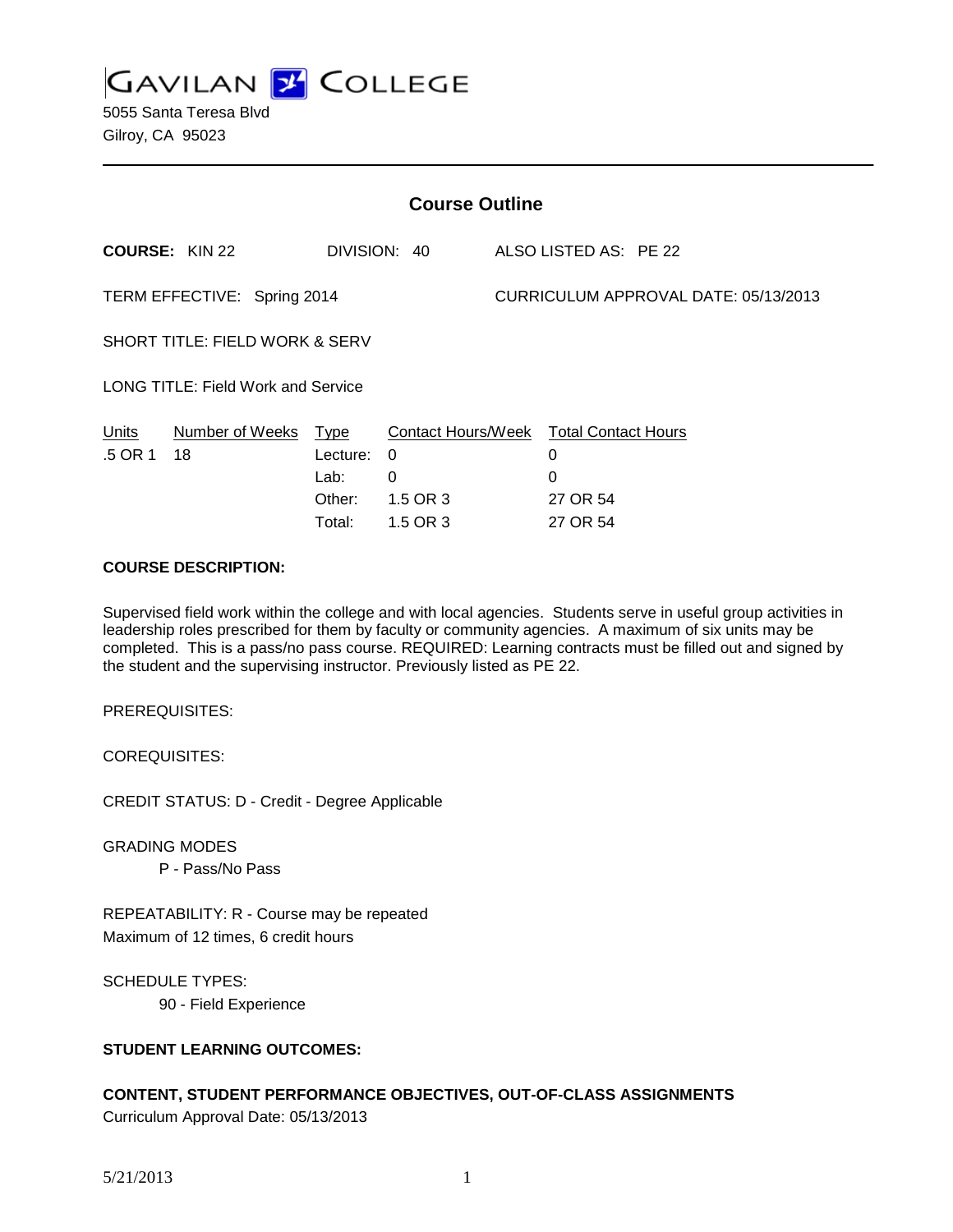**GAVILAN 2 COLLEGE** 

| <b>Course Outline</b>                     |                       |          |                           |                                      |                            |
|-------------------------------------------|-----------------------|----------|---------------------------|--------------------------------------|----------------------------|
|                                           | <b>COURSE: KIN 22</b> |          | DIVISION: 40              |                                      | ALSO LISTED AS: PE 22      |
| TERM EFFECTIVE: Spring 2014               |                       |          |                           | CURRICULUM APPROVAL DATE: 05/13/2013 |                            |
| <b>SHORT TITLE: FIELD WORK &amp; SERV</b> |                       |          |                           |                                      |                            |
| <b>LONG TITLE: Field Work and Service</b> |                       |          |                           |                                      |                            |
| Units                                     | Number of Weeks       | Type     | <b>Contact Hours/Week</b> |                                      | <b>Total Contact Hours</b> |
| .5 OR 1                                   | 18                    | Lecture: | $\Omega$                  |                                      | 0                          |
|                                           |                       | Lab:     | 0                         |                                      | 0                          |
|                                           |                       | Other:   | 1.5 OR 3                  |                                      | 27 OR 54                   |
|                                           |                       | Total:   | 1.5 OR 3                  |                                      | 27 OR 54                   |

#### **COURSE DESCRIPTION:**

Supervised field work within the college and with local agencies. Students serve in useful group activities in leadership roles prescribed for them by faculty or community agencies. A maximum of six units may be completed. This is a pass/no pass course. REQUIRED: Learning contracts must be filled out and signed by the student and the supervising instructor. Previously listed as PE 22.

PREREQUISITES:

COREQUISITES:

CREDIT STATUS: D - Credit - Degree Applicable

GRADING MODES

P - Pass/No Pass

REPEATABILITY: R - Course may be repeated Maximum of 12 times, 6 credit hours

SCHEDULE TYPES: 90 - Field Experience

### **STUDENT LEARNING OUTCOMES:**

# **CONTENT, STUDENT PERFORMANCE OBJECTIVES, OUT-OF-CLASS ASSIGNMENTS**

Curriculum Approval Date: 05/13/2013